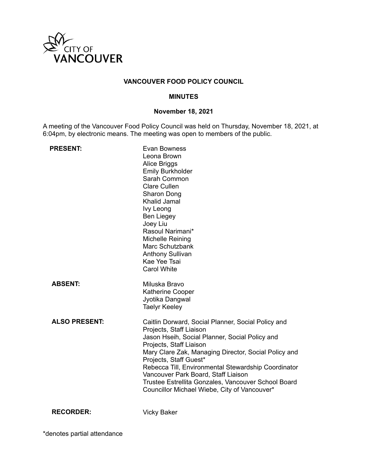

# **VANCOUVER FOOD POLICY COUNCIL**

### **MINUTES**

# **November 18, 2021**

A meeting of the Vancouver Food Policy Council was held on Thursday, November 18, 2021, at 6:04pm, by electronic means. The meeting was open to members of the public.

| <b>PRESENT:</b>      | Evan Bowness<br>Leona Brown<br><b>Alice Briggs</b><br><b>Emily Burkholder</b><br>Sarah Common<br><b>Clare Cullen</b><br>Sharon Dong<br><b>Khalid Jamal</b><br><b>Ivy Leong</b><br>Ben Liegey<br>Joey Liu<br>Rasoul Narimani*<br>Michelle Reining<br>Marc Schutzbank<br><b>Anthony Sullivan</b><br>Kae Yee Tsai<br><b>Carol White</b>                                                                                                              |
|----------------------|---------------------------------------------------------------------------------------------------------------------------------------------------------------------------------------------------------------------------------------------------------------------------------------------------------------------------------------------------------------------------------------------------------------------------------------------------|
| <b>ABSENT:</b>       | Miluska Bravo<br>Katherine Cooper<br>Jyotika Dangwal<br><b>Taelyr Keeley</b>                                                                                                                                                                                                                                                                                                                                                                      |
| <b>ALSO PRESENT:</b> | Caitlin Dorward, Social Planner, Social Policy and<br>Projects, Staff Liaison<br>Jason Hseih, Social Planner, Social Policy and<br>Projects, Staff Liaison<br>Mary Clare Zak, Managing Director, Social Policy and<br>Projects, Staff Guest*<br>Rebecca Till, Environmental Stewardship Coordinator<br>Vancouver Park Board, Staff Liaison<br>Trustee Estrellita Gonzales, Vancouver School Board<br>Councillor Michael Wiebe, City of Vancouver* |
| <b>RECORDER:</b>     | <b>Vicky Baker</b>                                                                                                                                                                                                                                                                                                                                                                                                                                |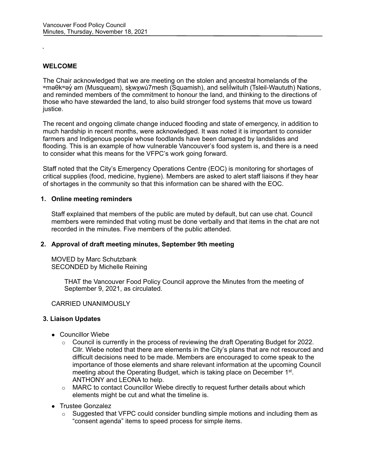## **WELCOME**

The Chair acknowledged that we are meeting on the stolen and ancestral homelands of the ʷməθkʷəy̓ əm (Musqueam), sḵwx̱wú7mesh (Squamish), and sel̓ íl̓ witulh (Tsleil-Waututh) Nations, and reminded members of the commitment to honour the land, and thinking to the directions of those who have stewarded the land, to also build stronger food systems that move us toward justice.

The recent and ongoing climate change induced flooding and state of emergency, in addition to much hardship in recent months, were acknowledged. It was noted it is important to consider farmers and Indigenous people whose foodlands have been damaged by landslides and flooding. This is an example of how vulnerable Vancouver's food system is, and there is a need to consider what this means for the VFPC's work going forward.

Staff noted that the City's Emergency Operations Centre (EOC) is monitoring for shortages of critical supplies (food, medicine, hygiene). Members are asked to alert staff liaisons if they hear of shortages in the community so that this information can be shared with the EOC.

#### **1. Online meeting reminders**

Staff explained that members of the public are muted by default, but can use chat. Council members were reminded that voting must be done verbally and that items in the chat are not recorded in the minutes. Five members of the public attended.

#### **2. Approval of draft meeting minutes, September 9th meeting**

MOVED by Marc Schutzbank SECONDED by Michelle Reining

> THAT the Vancouver Food Policy Council approve the Minutes from the meeting of September 9, 2021, as circulated.

#### CARRIED UNANIMOUSLY

#### **3. Liaison Updates**

- Councillor Wiebe
	- $\circ$  Council is currently in the process of reviewing the draft Operating Budget for 2022. Cllr. Wiebe noted that there are elements in the City's plans that are not resourced and difficult decisions need to be made. Members are encouraged to come speak to the importance of those elements and share relevant information at the upcoming Council meeting about the Operating Budget, which is taking place on December 1<sup>st</sup>. ANTHONY and LEONA to help.
	- $\circ$  MARC to contact Councillor Wiebe directly to request further details about which elements might be cut and what the timeline is.
- Trustee Gonzalez
	- $\circ$  Suggested that VFPC could consider bundling simple motions and including them as "consent agenda" items to speed process for simple items.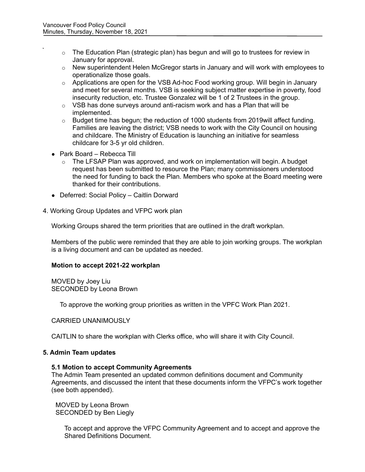- $\circ$  The Education Plan (strategic plan) has begun and will go to trustees for review in January for approval.
- $\circ$  New superintendent Helen McGregor starts in January and will work with employees to operationalize those goals.
- o Applications are open for the VSB Ad-hoc Food working group. Will begin in January and meet for several months. VSB is seeking subject matter expertise in poverty, food insecurity reduction, etc. Trustee Gonzalez will be 1 of 2 Trustees in the group.
- $\circ$  VSB has done surveys around anti-racism work and has a Plan that will be implemented.
- $\circ$  Budget time has begun; the reduction of 1000 students from 2019 will affect funding. Families are leaving the district; VSB needs to work with the City Council on housing and childcare. The Ministry of Education is launching an initiative for seamless childcare for 3-5 yr old children.
- Park Board Rebecca Till
	- $\circ$  The LFSAP Plan was approved, and work on implementation will begin. A budget request has been submitted to resource the Plan; many commissioners understood the need for funding to back the Plan. Members who spoke at the Board meeting were thanked for their contributions.
- Deferred: Social Policy Caitlin Dorward
- 4. Working Group Updates and VFPC work plan

Working Groups shared the term priorities that are outlined in the draft workplan.

Members of the public were reminded that they are able to join working groups. The workplan is a living document and can be updated as needed.

#### **Motion to accept 2021-22 workplan**

MOVED by Joey Liu SECONDED by Leona Brown

To approve the working group priorities as written in the VPFC Work Plan 2021.

# CARRIED UNANIMOUSLY

CAITLIN to share the workplan with Clerks office, who will share it with City Council.

#### **5. Admin Team updates**

#### **5.1 Motion to accept Community Agreements**

The Admin Team presented an updated common definitions document and Community Agreements, and discussed the intent that these documents inform the VFPC's work together (see both appended).

MOVED by Leona Brown SECONDED by Ben Liegly

> To accept and approve the VFPC Community Agreement and to accept and approve the Shared Definitions Document.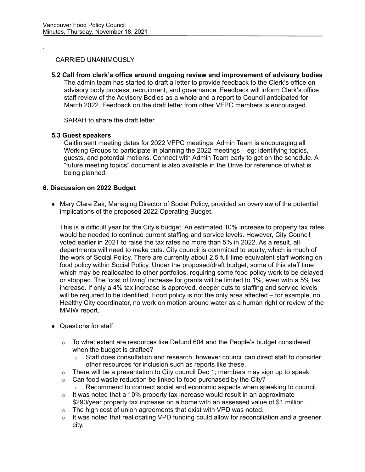# CARRIED UNANIMOUSLY

**5.2 Call from clerk's office around ongoing review and improvement of advisory bodies** The admin team has started to draft a letter to provide feedback to the Clerk's office on advisory body process, recruitment, and governance. Feedback will inform Clerk's office staff review of the Advisory Bodies as a whole and a report to Council anticipated for March 2022. Feedback on the draft letter from other VFPC members is encouraged.

SARAH to share the draft letter.

# **5.3 Guest speakers**

Caitlin sent meeting dates for 2022 VFPC meetings. Admin Team is encouraging all Working Groups to participate in planning the 2022 meetings – eg: identifying topics, guests, and potential motions. Connect with Admin Team early to get on the schedule. A "future meeting topics" document is also available in the Drive for reference of what is being planned.

# **6. Discussion on 2022 Budget**

● Mary Clare Zak, Managing Director of Social Policy, provided an overview of the potential implications of the proposed 2022 Operating Budget.

This is a difficult year for the City's budget. An estimated 10% increase to property tax rates would be needed to continue current staffing and service levels. However, City Council voted earlier in 2021 to raise the tax rates no more than 5% in 2022. As a result, all departments will need to make cuts. City council is committed to equity, which is much of the work of Social Policy. There are currently about 2.5 full time equivalent staff working on food policy within Social Policy. Under the proposed/draft budget, some of this staff time which may be reallocated to other portfolios, requiring some food policy work to be delayed or stopped. The 'cost of living' increase for grants will be limited to 1%, even with a 5% tax increase. If only a 4% tax increase is approved, deeper cuts to staffing and service levels will be required to be identified. Food policy is not the only area affected – for example, no Healthy City coordinator, no work on motion around water as a human right or review of the MMIW report.

- Questions for staff
	- $\circ$  To what extent are resources like Defund 604 and the People's budget considered when the budget is drafted?
		- o Staff does consultation and research, however council can direct staff to consider other resources for inclusion such as reports like these.
	- $\circ$  There will be a presentation to City council Dec 1; members may sign up to speak
	- $\circ$  Can food waste reduction be linked to food purchased by the City?<br>  $\circ$  Recommend to connect social and economic aspects when sp
		- Recommend to connect social and economic aspects when speaking to council.
	- $\circ$  It was noted that a 10% property tax increase would result in an approximate \$290/year property tax increase on a home with an assessed value of \$1 million.
	- o The high cost of union agreements that exist with VPD was noted.
	- $\circ$  It was noted that reallocating VPD funding could allow for reconciliation and a greener city.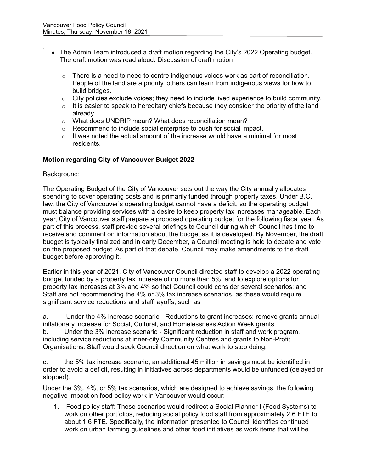- The Admin Team introduced a draft motion regarding the City's 2022 Operating budget. The draft motion was read aloud. Discussion of draft motion
	- $\circ$  There is a need to need to centre indigenous voices work as part of reconciliation. People of the land are a priority, others can learn from indigenous views for how to build bridges.
	- $\circ$  City policies exclude voices; they need to include lived experience to build community.
	- $\circ$  It is easier to speak to hereditary chiefs because they consider the priority of the land already.
	- o What does UNDRIP mean? What does reconciliation mean?
	- o Recommend to include social enterprise to push for social impact.
	- $\circ$  It was noted the actual amount of the increase would have a minimal for most residents.

# **Motion regarding City of Vancouver Budget 2022**

#### Background:

The Operating Budget of the City of Vancouver sets out the way the City annually allocates spending to cover operating costs and is primarily funded through property taxes. Under B.C. law, the City of Vancouver's operating budget cannot have a deficit, so the operating budget must balance providing services with a desire to keep property tax increases manageable. Each year, City of Vancouver staff prepare a proposed operating budget for the following fiscal year. As part of this process, staff provide several briefings to Council during which Council has time to receive and comment on information about the budget as it is developed. By November, the draft budget is typically finalized and in early December, a Council meeting is held to debate and vote on the proposed budget. As part of that debate, Council may make amendments to the draft budget before approving it.

Earlier in this year of 2021, City of Vancouver Council directed staff to develop a 2022 operating budget funded by a property tax increase of no more than 5%, and to explore options for property tax increases at 3% and 4% so that Council could consider several scenarios; and Staff are not recommending the 4% or 3% tax increase scenarios, as these would require significant service reductions and staff layoffs, such as

a. Under the 4% increase scenario - Reductions to grant increases: remove grants annual inflationary increase for Social, Cultural, and Homelessness Action Week grants b. Under the 3% increase scenario - Significant reduction in staff and work program, including service reductions at inner-city Community Centres and grants to Non-Profit Organisations. Staff would seek Council direction on what work to stop doing.

c. the 5% tax increase scenario, an additional 45 million in savings must be identified in order to avoid a deficit, resulting in initiatives across departments would be unfunded (delayed or stopped).

Under the 3%, 4%, or 5% tax scenarios, which are designed to achieve savings, the following negative impact on food policy work in Vancouver would occur:

1. Food policy staff: These scenarios would redirect a Social Planner I (Food Systems) to work on other portfolios, reducing social policy food staff from approximately 2.6 FTE to about 1.6 FTE. Specifically, the information presented to Council identifies continued work on urban farming guidelines and other food initiatives as work items that will be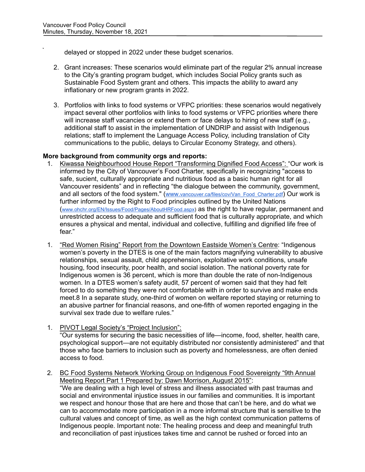delayed or stopped in 2022 under these budget scenarios.

- 2. Grant increases: These scenarios would eliminate part of the regular 2% annual increase to the City's granting program budget, which includes Social Policy grants such as Sustainable Food System grant and others. This impacts the ability to award any inflationary or new program grants in 2022.
- 3. Portfolios with links to food systems or VFPC priorities: these scenarios would negatively impact several other portfolios with links to food systems or VFPC priorities where there will increase staff vacancies or extend them or face delays to hiring of new staff (e.g., additional staff to assist in the implementation of UNDRIP and assist with Indigenous relations; staff to implement the Language Access Policy, including translation of City communications to the public, delays to Circular Economy Strategy, and others).

# **More background from community orgs and reports:**

- 1. Kiwassa Neighbourhood House Report "Transforming Dignified Food Access": "Our work is informed by the City of Vancouver's Food Charter, specifically in recognizing "access to safe, sucient, culturally appropriate and nutritious food as a basic human right for all Vancouver residents" and in reflecting "the dialogue between the community, government, and all sectors of the food system." (www.vancouver.ca/files/cov/Van Food Charter.pdf) Our work is further informed by the Right to Food principles outlined by the United Nations [\(www.ohchr.org/EN/Issues/Food/Pages/AboutHRFood.aspx\)](http://www.ohchr.org/EN/Issues/Food/Pages/AboutHRFood.aspx) as the right to have regular, permanent and unrestricted access to adequate and sufficient food that is culturally appropriate, and which ensures a physical and mental, individual and collective, fulfilling and dignified life free of fear."
- 1. "Red Women Rising" Report from the Downtown Eastside Women's Centre: "Indigenous women's poverty in the DTES is one of the main factors magnifying vulnerability to abusive relationships, sexual assault, child apprehension, exploitative work conditions, unsafe housing, food insecurity, poor health, and social isolation. The national poverty rate for Indigenous women is 36 percent, which is more than double the rate of non-Indigenous women. In a DTES women's safety audit, 57 percent of women said that they had felt forced to do something they were not comfortable with in order to survive and make ends meet.8 In a separate study, one-third of women on welfare reported staying or returning to an abusive partner for financial reasons, and one-fifth of women reported engaging in the survival sex trade due to welfare rules."
- 1. PIVOT Legal Society's "Project Inclusion":

"Our systems for securing the basic necessities of life—income, food, shelter, health care, psychological support—are not equitably distributed nor consistently administered" and that those who face barriers to inclusion such as poverty and homelessness, are often denied access to food.

2. BC Food Systems Network Working Group on Indigenous Food Sovereignty "9th Annual Meeting Report Part 1 Prepared by: Dawn Morrison, August 2015": "We are dealing with a high level of stress and illness associated with past traumas and social and environmental injustice issues in our families and communities. It is important we respect and honour those that are here and those that can't be here, and do what we can to accommodate more participation in a more informal structure that is sensitive to the cultural values and concept of time, as well as the high context communication patterns of Indigenous people. Important note: The healing process and deep and meaningful truth

and reconciliation of past injustices takes time and cannot be rushed or forced into an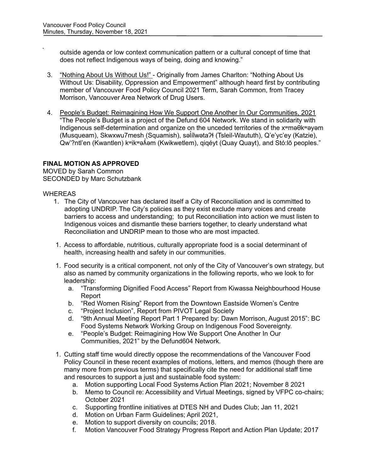outside agenda or low context communication pattern or a cultural concept of time that does not reflect Indigenous ways of being, doing and knowing."

- 3. "Nothing About Us Without Us!" Originally from James Charlton: "Nothing About Us Without Us: Disability, Oppression and Empowerment" although heard first by contributing member of Vancouver Food Policy Council 2021 Term, Sarah Common, from Tracey Morrison, Vancouver Area Network of Drug Users.
- 4. People's Budget: Reimagining How We Support One Another In Our Communities, 2021 "The People's Budget is a project of the Defund 604 Network. We stand in solidarity with Indigenous self-determination and organize on the unceded territories of the xʷməθkʷəyəm (Musqueam), Skwxwu7mesh (Squamish), səl ílwətaʔɬ (Tsleil-Waututh), Q'e'yc'ey (Katzie), Qw'?ntl'en (Kwantlen) kʷikʷəʌ̌əm (Kwikwetlem), qiqéyt (Quay Quayt), and Stó:lō peoples." ̓

# **FINAL MOTION AS APPROVED**

MOVED by Sarah Common SECONDED by Marc Schutzbank

# WHEREAS

- 1. The City of Vancouver has declared itself a City of Reconciliation and is committed to adopting UNDRIP. The City's policies as they exist exclude many voices and create barriers to access and understanding; to put Reconciliation into action we must listen to Indigenous voices and dismantle these barriers together, to clearly understand what Reconciliation and UNDRIP mean to those who are most impacted.
- 1. Access to affordable, nutritious, culturally appropriate food is a social determinant of health, increasing health and safety in our communities.
- 1. Food security is a critical component, not only of the City of Vancouver's own strategy, but also as named by community organizations in the following reports, who we look to for leadership:
	- a. "Transforming Dignified Food Access" Report from Kiwassa Neighbourhood House Report
	- b. "Red Women Rising" Report from the Downtown Eastside Women's Centre
	- c. "Project Inclusion", Report from PIVOT Legal Society
	- d. "9th Annual Meeting Report Part 1 Prepared by: Dawn Morrison, August 2015": BC Food Systems Network Working Group on Indigenous Food Sovereignty.
	- e. "People's Budget: Reimagining How We Support One Another In Our Communities, 2021" by the Defund604 Network.
- 1. Cutting staff time would directly oppose the recommendations of the Vancouver Food Policy Council in these recent examples of motions, letters, and memos (though there are many more from previous terms) that specifically cite the need for additional staff time and resources to support a just and sustainable food system:
	- a. Motion supporting Local Food Systems Action Plan 2021; November 8 2021
	- b. Memo to Council re: Accessibility and Virtual Meetings, signed by VFPC co-chairs; October 2021
	- c. Supporting frontline initiatives at DTES NH and Dudes Club; Jan 11, 2021
	- d. Motion on Urban Farm Guidelines; April 2021,
	- e. Motion to support diversity on councils; 2018.
	- f. Motion Vancouver Food Strategy Progress Report and Action Plan Update; 2017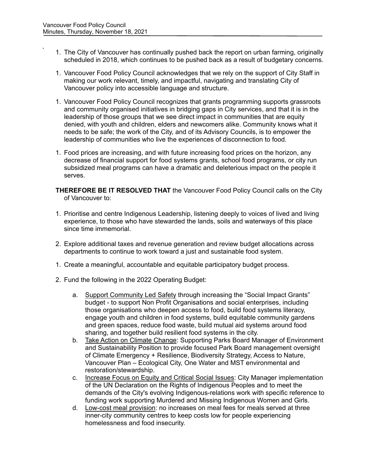- 1. The City of Vancouver has continually pushed back the report on urban farming, originally scheduled in 2018, which continues to be pushed back as a result of budgetary concerns.
- 1. Vancouver Food Policy Council acknowledges that we rely on the support of City Staff in making our work relevant, timely, and impactful, navigating and translating City of Vancouver policy into accessible language and structure.
- 1. Vancouver Food Policy Council recognizes that grants programming supports grassroots and community organised initiatives in bridging gaps in City services, and that it is in the leadership of those groups that we see direct impact in communities that are equity denied, with youth and children, elders and newcomers alike. Community knows what it needs to be safe; the work of the City, and of its Advisory Councils, is to empower the leadership of communities who live the experiences of disconnection to food.
- 1. Food prices are increasing, and with future increasing food prices on the horizon, any decrease of financial support for food systems grants, school food programs, or city run subsidized meal programs can have a dramatic and deleterious impact on the people it serves.
- **THEREFORE BE IT RESOLVED THAT** the Vancouver Food Policy Council calls on the City of Vancouver to:
- 1. Prioritise and centre Indigenous Leadership, listening deeply to voices of lived and living experience, to those who have stewarded the lands, soils and waterways of this place since time immemorial.
- 2. Explore additional taxes and revenue generation and review budget allocations across departments to continue to work toward a just and sustainable food system.
- 1. Create a meaningful, accountable and equitable participatory budget process.
- 2. Fund the following in the 2022 Operating Budget:
	- a. Support Community Led Safety through increasing the "Social Impact Grants" budget - to support Non Profit Organisations and social enterprises, including those organisations who deepen access to food, build food systems literacy, engage youth and children in food systems, build equitable community gardens and green spaces, reduce food waste, build mutual aid systems around food sharing, and together build resilient food systems in the city.
	- b. Take Action on Climate Change: Supporting Parks Board Manager of Environment and Sustainability Position to provide focused Park Board management oversight of Climate Emergency + Resilience, Biodiversity Strategy, Access to Nature, Vancouver Plan – Ecological City, One Water and MST environmental and restoration/stewardship.
	- c. Increase Focus on Equity and Critical Social Issues: City Manager implementation of the UN Declaration on the Rights of Indigenous Peoples and to meet the demands of the City's evolving Indigenous-relations work with specific reference to funding work supporting Murdered and Missing Indigenous Women and Girls.
	- d. Low-cost meal provision: no increases on meal fees for meals served at three inner-city community centres to keep costs low for people experiencing homelessness and food insecurity.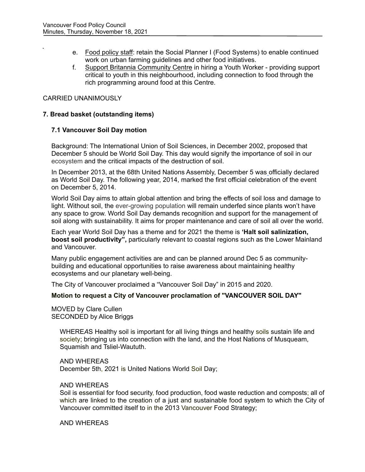- e. Food policy staff: retain the Social Planner I (Food Systems) to enable continued work on urban farming guidelines and other food initiatives.
- f. Support Britannia Community Centre in hiring a Youth Worker providing support critical to youth in this neighbourhood, including connection to food through the rich programming around food at this Centre.

# CARRIED UNANIMOUSLY

# **7. Bread basket (outstanding items)**

# **7.1 Vancouver Soil Day motion**

Background: The International Union of Soil Sciences, in December 2002, proposed that December 5 should be World Soil Day. This day would signify the importance of soil in our ecosystem and the critical impacts of the destruction of soil.

In December 2013, at the 68th United Nations Assembly, December 5 wa[s](https://www.un.org/en/observances/world-soil-day) officially declared as World Soil Day. The following year, 2014, marked the first official celebration of the event on December 5, 2014.

World Soil Day aims to attain global attention and bring the effects of soil loss and damage to light. Without soil, the ever-growing population will remain underfed since plants won't have any space to grow. World Soil Day demands recognition and support for the management of soil along with sustainability. It aims for proper maintenance and care of soil all over the world.

Each year World Soil Day has a theme and for 2021 the theme is **'Halt soil salinization, boost soil productivity",** particularly relevant to coastal regions such as the Lower Mainland and Vancouver.

Many public engagement activities are and can be planned around Dec 5 as communitybuilding and educational opportunities to raise awareness about maintaining healthy ecosystems and our planetary well-being.

The City of Vancouver proclaimed a "Vancouver Soil Day" in 2015 and 2020.

# **Motion to request a City of Vancouver proclamation of "VANCOUVER SOIL DAY"**

MOVED by Clare Cullen SECONDED by Alice Briggs

> WHERE*A*S Healthy soil is important for all living things and healthy soils sustain life and society; bringing us into connection with the land, and the Host Nations of Musqueam, Squamish and Tsliel-Waututh.

AND WHEREAS December 5th, 2021 is United Nations World Soil Day;

#### AND WHEREAS

Soil is essential for food security, food production, food waste reduction and composts; all of which are linked to the creation of a just and sustainable food system to which the City of Vancouver committed itself to in the 2013 Vancouver Food Strategy;

AND WHEREAS